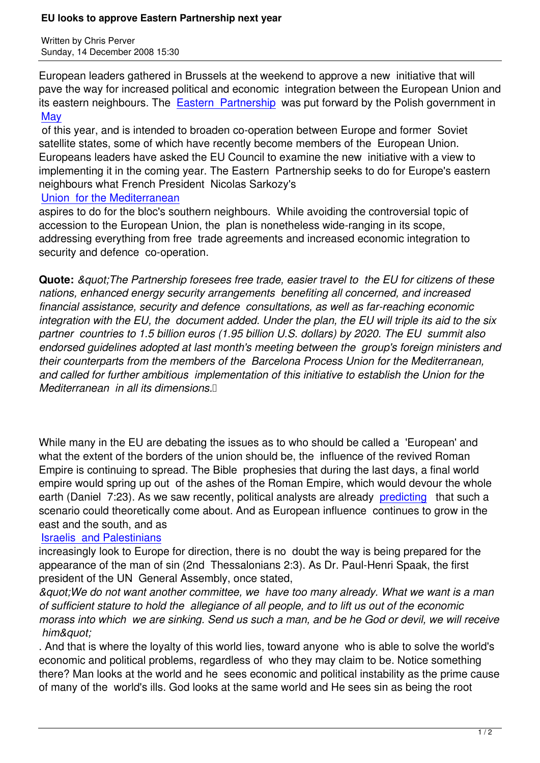European leaders gathered in Brussels at the weekend to approve a new initiative that will pave the way for increased political and economic integration between the European Union and its eastern neighbours. The Eastern Partnership was put forward by the Polish government in **May** 

 of this year, and is intended to broaden co-operation between Europe and former Soviet satellite states, some of whi[ch have recently beco](http://news.xinhuanet.com/english/2008-12/12/content_10496386.htm)me members of the European Union. [Euro](http://www.telegraph.co.uk/news/2027636/Poland-takes-on-Russia-with-%27Eastern-Partnership%27-proposal.html)peans leaders have asked the EU Council to examine the new initiative with a view to implementing it in the coming year. The Eastern Partnership seeks to do for Europe's eastern neighbours what French President Nicolas Sarkozy's

## Union for the Mediterranean

aspires to do for the bloc's southern neighbours. While avoiding the controversial topic of accession to the European Union, the plan is nonetheless wide-ranging in its scope, [addressing everything from fr](https://www.prophecynews.co.uk/index.php?option=com_content&id=923)ee trade agreements and increased economic integration to security and defence co-operation.

**Quote:** & *quot*; The Partnership foresees free trade, easier travel to the EU for citizens of these *nations, enhanced energy security arrangements benefiting all concerned, and increased financial assistance, security and defence consultations, as well as far-reaching economic integration with the EU, the document added. Under the plan, the EU will triple its aid to the six partner countries to 1.5 billion euros (1.95 billion U.S. dollars) by 2020. The EU summit also endorsed guidelines adopted at last month's meeting between the group's foreign ministers and their counterparts from the members of the Barcelona Process Union for the Mediterranean, and called for further ambitious implementation of this initiative to establish the Union for the Mediterranean in all its dimensions.* 

While many in the EU are debating the issues as to who should be called a 'European' and what the extent of the borders of the union should be, the influence of the revived Roman Empire is continuing to spread. The Bible prophesies that during the last days, a final world empire would spring up out of the ashes of the Roman Empire, which would devour the whole earth (Daniel 7:23). As we saw recently, political analysts are already predicting that such a scenario could theoretically come about. And as European influence continues to grow in the east and the south, and as

## Israelis and Palestinians

increasingly look to Europe for direction, there is no doubt the way is b[eing prepa](https://www.prophecynews.co.uk/index.php?option=com_content&id=1088/1/)red for the appearance of the man of sin (2nd Thessalonians 2:3). As Dr. Paul-Henri Spaak, the first [president of the UN Gene](https://www.prophecynews.co.uk/index.php?option=com_content&id=1073/1/)ral Assembly, once stated,

*"We do not want another committee, we have too many already. What we want is a man of sufficient stature to hold the allegiance of all people, and to lift us out of the economic morass into which we are sinking. Send us such a man, and be he God or devil, we will receive* him&guot:

. And that is where the loyalty of this world lies, toward anyone who is able to solve the world's economic and political problems, regardless of who they may claim to be. Notice something there? Man looks at the world and he sees economic and political instability as the prime cause of many of the world's ills. God looks at the same world and He sees sin as being the root